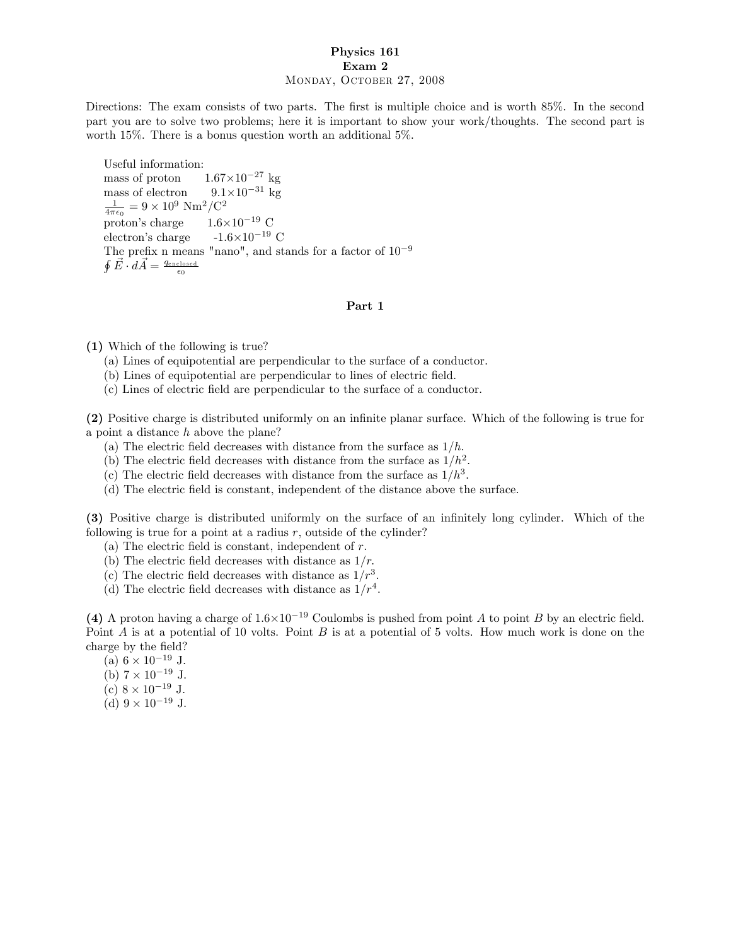## Physics 161 Exam 2 Monday, October 27, 2008

Directions: The exam consists of two parts. The first is multiple choice and is worth 85%. In the second part you are to solve two problems; here it is important to show your work/thoughts. The second part is worth 15%. There is a bonus question worth an additional 5%.

Useful information: mass of proton<br>mass of electron  $1.67\times10^{-27}$  kg mass of electron  $9.1 \times$ <br> $\frac{1}{4\pi\epsilon_0} = 9 \times 10^9$  Nm<sup>2</sup>/C<sup>2</sup>  $9.1\times10^{-31}$  kg proton's charge  $1.6\times10^{-19}$  C electron's charge  $-1.6\times10^{-19}$  C The prefix n means "nano", and stands for a factor of  $10^{-9}$  $\oint \vec{E} \cdot d\vec{A} = \frac{q_{\rm enclosed}}{\epsilon_0}$ 

## Part 1

(1) Which of the following is true?

- (a) Lines of equipotential are perpendicular to the surface of a conductor.
- (b) Lines of equipotential are perpendicular to lines of electric field.
- (c) Lines of electric Öeld are perpendicular to the surface of a conductor.

(2) Positive charge is distributed uniformly on an infinite planar surface. Which of the following is true for a point a distance h above the plane?

- (a) The electric field decreases with distance from the surface as  $1/h$ .
- (b) The electric field decreases with distance from the surface as  $1/h^2$ :
- (c) The electric field decreases with distance from the surface as  $1/h^3$ .
- (d) The electric field is constant, independent of the distance above the surface.

(3) Positive charge is distributed uniformly on the surface of an infinitely long cylinder. Which of the following is true for a point at a radius  $r$ , outside of the cylinder?

- (a) The electric field is constant, independent of  $r$ .
- (b) The electric field decreases with distance as  $1/r$ .
- (c) The electric field decreases with distance as  $1/r^3$ .
- (d) The electric field decreases with distance as  $1/r^4$ .

(4) A proton having a charge of  $1.6\times10^{-19}$  Coulombs is pushed from point A to point B by an electric field. Point  $A$  is at a potential of 10 volts. Point  $B$  is at a potential of 5 volts. How much work is done on the charge by the field?

(a)  $6 \times 10^{-19}$  J. (b)  $7 \times 10^{-19}$  J. (c)  $8 \times 10^{-19}$  J.

(d)  $9 \times 10^{-19}$  J.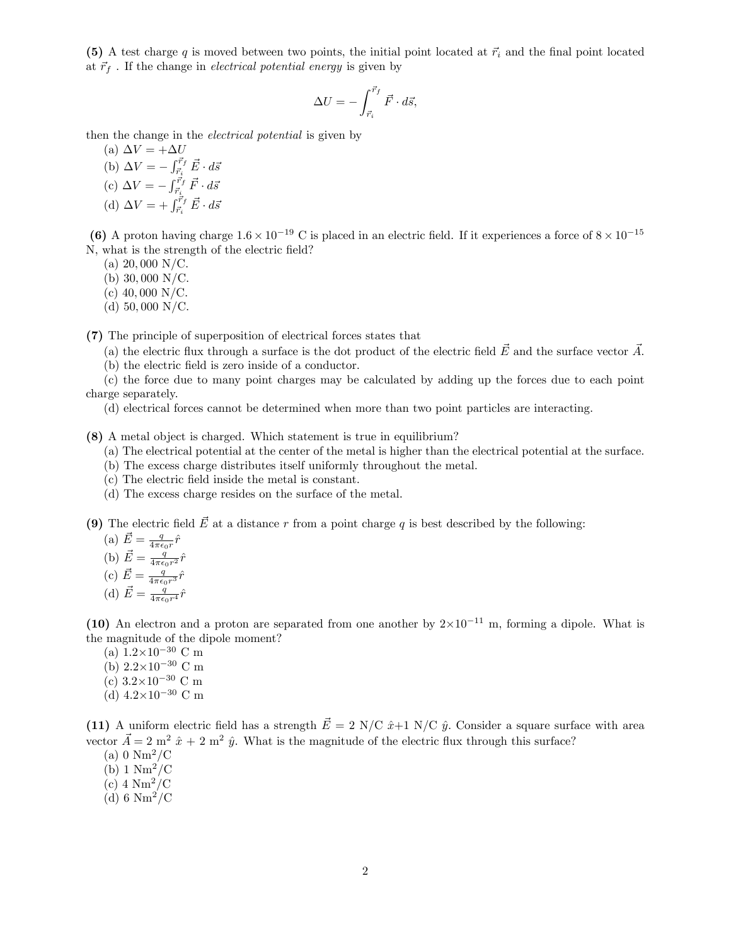(5) A test charge q is moved between two points, the initial point located at  $\vec{r}_i$  and the final point located at  $\vec{r}_f$ . If the change in *electrical potential energy* is given by

$$
\Delta U = -\int_{\vec{r}_i}^{\vec{r}_f} \vec{F} \cdot d\vec{s},
$$

then the change in the electrical potential is given by

(a)  $\Delta V = +\Delta U$ (b)  $\Delta V = -\int_{\vec{r}_i}^{\vec{r}_f} \vec{E} \cdot d\vec{s}$ (c)  $\Delta V = -\int_{\vec{r}_i}^{\vec{r}_f} \vec{F} \cdot d\vec{s}$ (d)  $\Delta V = + \int_{\vec{r}_i}^{\vec{r}_f} \vec{E} \cdot d\vec{s}$ 

(6) A proton having charge  $1.6 \times 10^{-19}$  C is placed in an electric field. If it experiences a force of  $8 \times 10^{-15}$ N, what is the strength of the electric field?

(a)  $20,000$  N/C.

(b) 30; 000 N/C.

(c)  $40,000$  N/C.

(d)  $50,000$  N/C.

(7) The principle of superposition of electrical forces states that

(a) the electric flux through a surface is the dot product of the electric field  $\vec{E}$  and the surface vector  $\vec{A}$ .

(b) the electric field is zero inside of a conductor.

(c) the force due to many point charges may be calculated by adding up the forces due to each point charge separately.

(d) electrical forces cannot be determined when more than two point particles are interacting.

(8) A metal object is charged. Which statement is true in equilibrium?

- (a) The electrical potential at the center of the metal is higher than the electrical potential at the surface.
- (b) The excess charge distributes itself uniformly throughout the metal.
- (c) The electric Öeld inside the metal is constant.
- (d) The excess charge resides on the surface of the metal.

(9) The electric field  $\vec{E}$  at a distance r from a point charge q is best described by the following:

(a) 
$$
\vec{E} = \frac{q}{4\pi\epsilon_0 r} \hat{r}
$$
  
\n(b)  $\vec{E} = \frac{q}{4\pi\epsilon_0 r^2} \hat{r}$   
\n(c)  $\vec{E} = \frac{q}{4\pi\epsilon_0 r^3} \hat{r}$   
\n(d)  $\vec{E} = \frac{q}{4\pi\epsilon_0 r^4} \hat{r}$ 

(10) An electron and a proton are separated from one another by  $2\times10^{-11}$  m, forming a dipole. What is the magnitude of the dipole moment?

- (a)  $1.2 \times 10^{-30}$  C m
- (b)  $2.2 \times 10^{-30}$  C m
- (c)  $3.2 \times 10^{-30}$  C m
- (d)  $4.2 \times 10^{-30}$  C m

(11) A uniform electric field has a strength  $\vec{E} = 2$  N/C  $\hat{x}+1$  N/C  $\hat{y}$ . Consider a square surface with area vector  $\vec{A} = 2$  m<sup>2</sup>  $\hat{x} + 2$  m<sup>2</sup>  $\hat{y}$ . What is the magnitude of the electric flux through this surface?

- (a)  $0 \text{ Nm}^2/\text{C}$
- (b)  $1 \text{ Nm}^2/\text{C}$
- $(c)$  4  $Nm^2/C$
- (d)  $6 \text{ Nm}^2/\text{C}$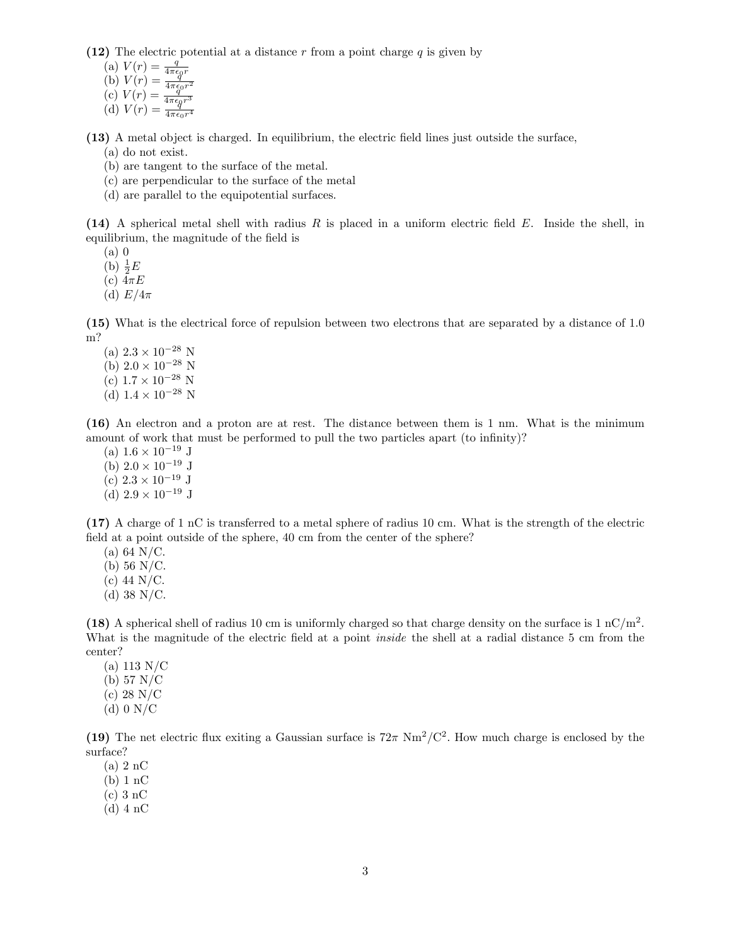(12) The electric potential at a distance r from a point charge  $q$  is given by

(a) 
$$
V(r) = \frac{q}{4\pi\epsilon_0 r}
$$
  
\n(b)  $V(r) = \frac{q}{4\pi\epsilon_0 r^2}$   
\n(c)  $V(r) = \frac{q}{4\pi\epsilon_0 r^3}$   
\n(d)  $V(r) = \frac{q}{4\pi\epsilon_0 r^4}$ 

(13) A metal object is charged. In equilibrium, the electric Öeld lines just outside the surface, (a) do not exist.

(b) are tangent to the surface of the metal.

(c) are perpendicular to the surface of the metal

(d) are parallel to the equipotential surfaces.

(14) A spherical metal shell with radius  $R$  is placed in a uniform electric field  $E$ . Inside the shell, in equilibrium, the magnitude of the field is

(a) 0

(b)  $\frac{1}{2}E$ 

(c)  $4\pi E$ 

(d)  $E/4\pi$ 

(15) What is the electrical force of repulsion between two electrons that are separated by a distance of 1.0 m?

(a)  $2.3 \times 10^{-28}$  N (b)  $2.0 \times 10^{-28}$  N (c)  $1.7 \times 10^{-28}$  N (d)  $1.4 \times 10^{-28}$  N

(16) An electron and a proton are at rest. The distance between them is 1 nm. What is the minimum amount of work that must be performed to pull the two particles apart (to infinity)?

(a)  $1.6 \times 10^{-19}$  J (b)  $2.0 \times 10^{-19}$  J (c)  $2.3 \times 10^{-19}$  J (d)  $2.9 \times 10^{-19}$  J

(17) A charge of 1 nC is transferred to a metal sphere of radius 10 cm. What is the strength of the electric field at a point outside of the sphere, 40 cm from the center of the sphere?

- $(a) 64 N/C.$
- (b) 56 N/C.
- (c) 44 N/C.
- (d)  $38 \text{ N/C}$ .

(18) A spherical shell of radius 10 cm is uniformly charged so that charge density on the surface is  $1 \text{ nC/m}^2$ . What is the magnitude of the electric field at a point *inside* the shell at a radial distance 5 cm from the center?

- (a) 113 N/C (b) 57 N/C (c) 28 N/C
- (d)  $0 N/C$

(19) The net electric flux exiting a Gaussian surface is  $72\pi \text{ Nm}^2/\text{C}^2$ . How much charge is enclosed by the surface?

(a) 2 nC

- (b) 1 nC
- (c) 3 nC
- (d) 4 nC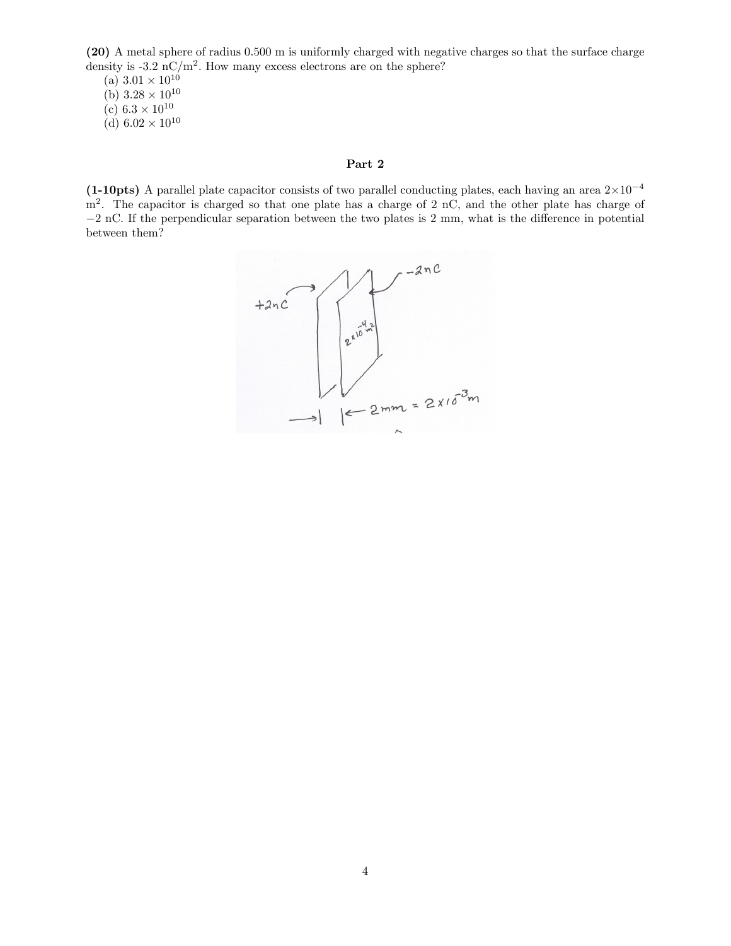(20) A metal sphere of radius 0:500 m is uniformly charged with negative charges so that the surface charge density is -3.2 nC/m<sup>2</sup>. How many excess electrons are on the sphere?

(a)  $3.01 \times 10^{10}$ 

(b)  $3.28 \times 10^{10}$ 

(c)  $6.3 \times 10^{10}$ 

(d)  $6.02 \times 10^{10}$ 

## Part 2

(1-10pts) A parallel plate capacitor consists of two parallel conducting plates, each having an area  $2\times10^{-4}$ m<sup>2</sup>. The capacitor is charged so that one plate has a charge of 2 nC, and the other plate has charge of  $-2$  nC. If the perpendicular separation between the two plates is 2 mm, what is the difference in potential between them?

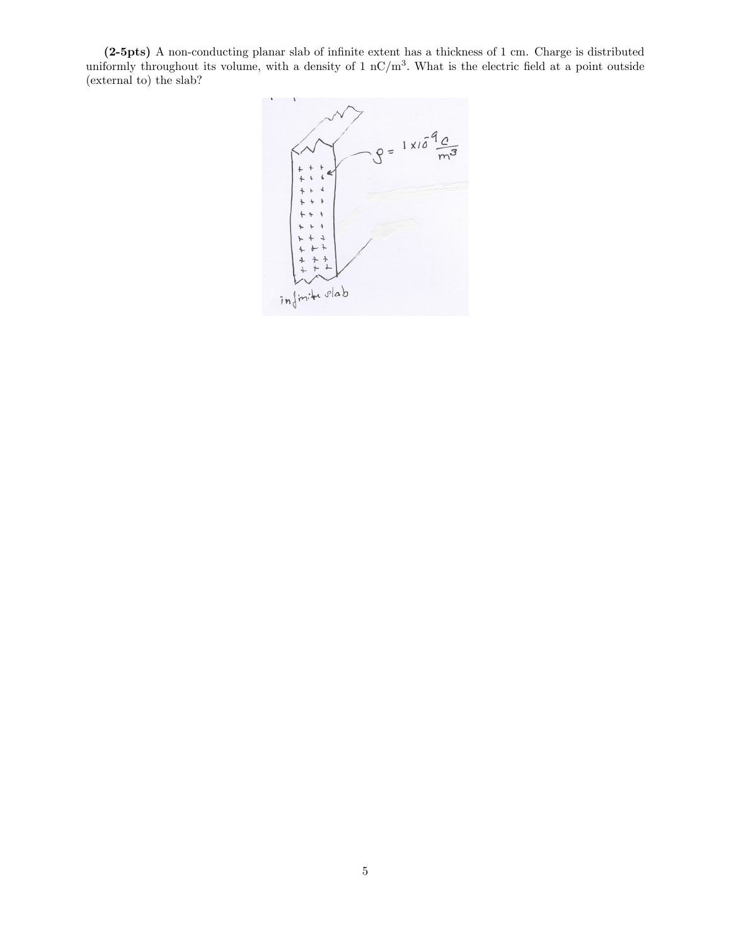(2-5pts) A non-conducting planar slab of infinite extent has a thickness of 1 cm. Charge is distributed uniformly throughout its volume, with a density of  $1 \text{ nC/m}^3$ . What is the electric field at a point outside (external to) the slab?